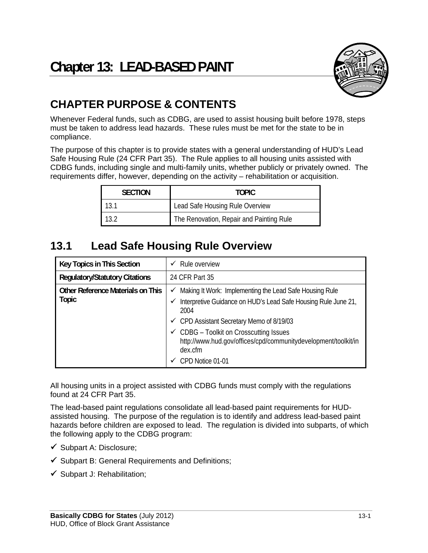

# **CHAPTER PURPOSE & CONTENTS**

Whenever Federal funds, such as CDBG, are used to assist housing built before 1978, steps must be taken to address lead hazards. These rules must be met for the state to be in compliance.

The purpose of this chapter is to provide states with a general understanding of HUD's Lead Safe Housing Rule (24 CFR Part 35). The Rule applies to all housing units assisted with CDBG funds, including single and multi-family units, whether publicly or privately owned. The requirements differ, however, depending on the activity – rehabilitation or acquisition.

| <b>SECTION</b> | TOPIC.                                   |  |
|----------------|------------------------------------------|--|
| 13.1           | Lead Safe Housing Rule Overview          |  |
| 13.2           | The Renovation, Repair and Painting Rule |  |

# **13.1 Lead Safe Housing Rule Overview**

| Key Topics in This Section                 | Rule overview<br>✓                                                                                                                                                                                                                                                                                                                              |
|--------------------------------------------|-------------------------------------------------------------------------------------------------------------------------------------------------------------------------------------------------------------------------------------------------------------------------------------------------------------------------------------------------|
| <b>Regulatory/Statutory Citations</b>      | 24 CFR Part 35                                                                                                                                                                                                                                                                                                                                  |
| Other Reference Materials on This<br>Topic | Making It Work: Implementing the Lead Safe Housing Rule<br>✓<br>Interpretive Guidance on HUD's Lead Safe Housing Rule June 21,<br>✓<br>2004<br>← CPD Assistant Secretary Memo of 8/19/03<br>$\checkmark$ CDBG - Toolkit on Crosscutting Issues<br>http://www.hud.gov/offices/cpd/communitydevelopment/toolkit/in<br>dex.cfm<br>CPD Notice 01-01 |

All housing units in a project assisted with CDBG funds must comply with the regulations found at 24 CFR Part 35.

The lead-based paint regulations consolidate all lead-based paint requirements for HUDassisted housing. The purpose of the regulation is to identify and address lead-based paint hazards before children are exposed to lead. The regulation is divided into subparts, of which the following apply to the CDBG program:

- $\checkmark$  Subpart A: Disclosure;
- $\checkmark$  Subpart B: General Requirements and Definitions;
- $\checkmark$  Subpart J: Rehabilitation;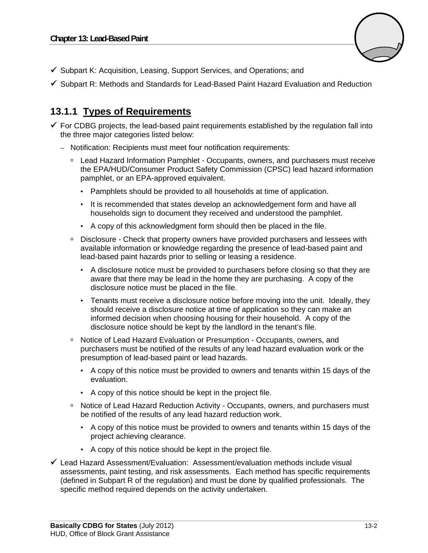

- $\checkmark$  Subpart K: Acquisition, Leasing, Support Services, and Operations; and
- $\checkmark$  Subpart R: Methods and Standards for Lead-Based Paint Hazard Evaluation and Reduction

## **13.1.1 Types of Requirements**

- $\checkmark$  For CDBG projects, the lead-based paint requirements established by the regulation fall into the three major categories listed below:
	- Notification: Recipients must meet four notification requirements:
		- □ Lead Hazard Information Pamphlet Occupants, owners, and purchasers must receive the EPA/HUD/Consumer Product Safety Commission (CPSC) lead hazard information pamphlet, or an EPA-approved equivalent.
			- Pamphlets should be provided to all households at time of application.
			- It is recommended that states develop an acknowledgement form and have all households sign to document they received and understood the pamphlet.
			- A copy of this acknowledgment form should then be placed in the file.
		- Disclosure Check that property owners have provided purchasers and lessees with available information or knowledge regarding the presence of lead-based paint and lead-based paint hazards prior to selling or leasing a residence.
			- • A disclosure notice must be provided to purchasers before closing so that they are aware that there may be lead in the home they are purchasing. A copy of the disclosure notice must be placed in the file.
			- Tenants must receive a disclosure notice before moving into the unit. Ideally, they should receive a disclosure notice at time of application so they can make an informed decision when choosing housing for their household. A copy of the disclosure notice should be kept by the landlord in the tenant's file.
		- □ Notice of Lead Hazard Evaluation or Presumption Occupants, owners, and purchasers must be notified of the results of any lead hazard evaluation work or the presumption of lead-based paint or lead hazards.
			- • A copy of this notice must be provided to owners and tenants within 15 days of the evaluation.
			- A copy of this notice should be kept in the project file.
		- Notice of Lead Hazard Reduction Activity Occupants, owners, and purchasers must be notified of the results of any lead hazard reduction work.
			- • A copy of this notice must be provided to owners and tenants within 15 days of the project achieving clearance.
			- • A copy of this notice should be kept in the project file.
- $\checkmark$  Lead Hazard Assessment/Evaluation: Assessment/evaluation methods include visual assessments, paint testing, and risk assessments. Each method has specific requirements (defined in Subpart R of the regulation) and must be done by qualified professionals. The specific method required depends on the activity undertaken.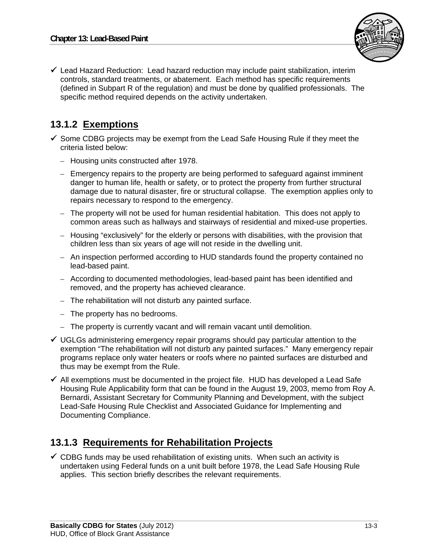

 $\checkmark$  Lead Hazard Reduction: Lead hazard reduction may include paint stabilization, interim controls, standard treatments, or abatement. Each method has specific requirements (defined in Subpart R of the regulation) and must be done by qualified professionals. The specific method required depends on the activity undertaken.

## **13.1.2 Exemptions**

- $\checkmark$  Some CDBG projects may be exempt from the Lead Safe Housing Rule if they meet the criteria listed below:
	- Housing units constructed after 1978.
	- Emergency repairs to the property are being performed to safeguard against imminent danger to human life, health or safety, or to protect the property from further structural damage due to natural disaster, fire or structural collapse. The exemption applies only to repairs necessary to respond to the emergency.
	- $-$  The property will not be used for human residential habitation. This does not apply to common areas such as hallways and stairways of residential and mixed-use properties.
	- $-$  Housing "exclusively" for the elderly or persons with disabilities, with the provision that children less than six years of age will not reside in the dwelling unit.
	- An inspection performed according to HUD standards found the property contained no lead-based paint.
	- According to documented methodologies, lead-based paint has been identified and removed, and the property has achieved clearance.
	- The rehabilitation will not disturb any painted surface.
	- $-$  The property has no bedrooms.
	- The property is currently vacant and will remain vacant until demolition.
- $\checkmark$  UGLGs administering emergency repair programs should pay particular attention to the exemption "The rehabilitation will not disturb any painted surfaces." Many emergency repair programs replace only water heaters or roofs where no painted surfaces are disturbed and thus may be exempt from the Rule.
- $\checkmark$  All exemptions must be documented in the project file. HUD has developed a Lead Safe Housing Rule Applicability form that can be found in the August 19, 2003, memo from Roy A. Bernardi, Assistant Secretary for Community Planning and Development, with the subject Lead-Safe Housing Rule Checklist and Associated Guidance for Implementing and Documenting Compliance.

## **13.1.3 Requirements for Rehabilitation Projects**

 $\checkmark$  CDBG funds may be used rehabilitation of existing units. When such an activity is undertaken using Federal funds on a unit built before 1978, the Lead Safe Housing Rule applies. This section briefly describes the relevant requirements.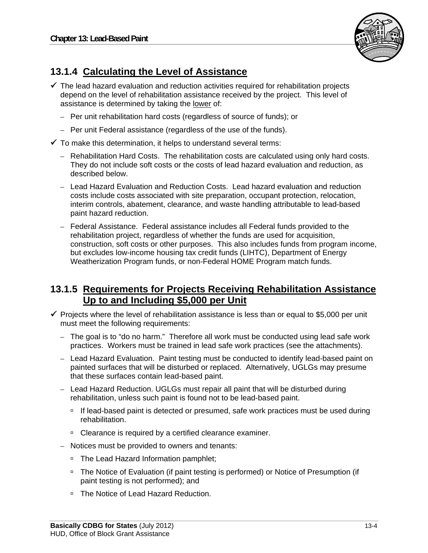

## **13.1.4 Calculating the Level of Assistance**

- $\checkmark$  The lead hazard evaluation and reduction activities required for rehabilitation projects depend on the level of rehabilitation assistance received by the project. This level of assistance is determined by taking the lower of:
	- Per unit rehabilitation hard costs (regardless of source of funds); or
	- Per unit Federal assistance (regardless of the use of the funds).
- $\checkmark$  To make this determination, it helps to understand several terms:
	- Rehabilitation Hard Costs. The rehabilitation costs are calculated using only hard costs. They do not include soft costs or the costs of lead hazard evaluation and reduction, as described below.
	- Lead Hazard Evaluation and Reduction Costs. Lead hazard evaluation and reduction costs include costs associated with site preparation, occupant protection, relocation, interim controls, abatement, clearance, and waste handling attributable to lead-based paint hazard reduction.
	- Federal Assistance. Federal assistance includes all Federal funds provided to the rehabilitation project, regardless of whether the funds are used for acquisition, construction, soft costs or other purposes. This also includes funds from program income, but excludes low-income housing tax credit funds (LIHTC), Department of Energy Weatherization Program funds, or non-Federal HOME Program match funds.

## **13.1.5 Requirements for Projects Receiving Rehabilitation Assistance Up to and Including \$5,000 per Unit**

- $\checkmark$  Projects where the level of rehabilitation assistance is less than or equal to \$5,000 per unit must meet the following requirements:
	- $-$  The goal is to "do no harm." Therefore all work must be conducted using lead safe work practices. Workers must be trained in lead safe work practices (see the attachments).
	- Lead Hazard Evaluation. Paint testing must be conducted to identify lead-based paint on painted surfaces that will be disturbed or replaced. Alternatively, UGLGs may presume that these surfaces contain lead-based paint.
	- Lead Hazard Reduction. UGLGs must repair all paint that will be disturbed during rehabilitation, unless such paint is found not to be lead-based paint.
		- <sup>n</sup> If lead-based paint is detected or presumed, safe work practices must be used during rehabilitation.
		- □ Clearance is required by a certified clearance examiner.
	- Notices must be provided to owners and tenants:
		- □ The Lead Hazard Information pamphlet;
		- □ The Notice of Evaluation (if paint testing is performed) or Notice of Presumption (if paint testing is not performed); and
		- □ The Notice of Lead Hazard Reduction.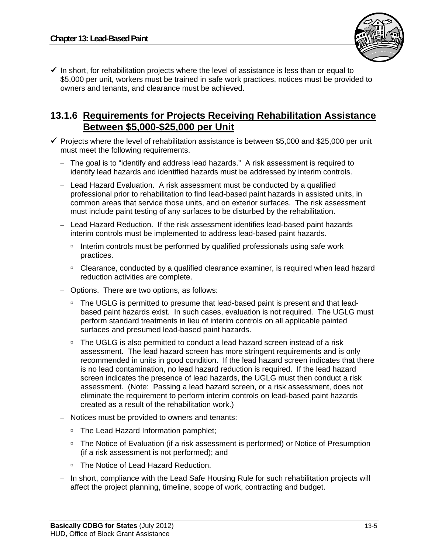

 $\checkmark$  In short, for rehabilitation projects where the level of assistance is less than or equal to \$5,000 per unit, workers must be trained in safe work practices, notices must be provided to owners and tenants, and clearance must be achieved.

## **13.1.6 Requirements for Projects Receiving Rehabilitation Assistance Between \$5,000-\$25,000 per Unit**

- $\checkmark$  Projects where the level of rehabilitation assistance is between \$5,000 and \$25,000 per unit must meet the following requirements.
	- The goal is to "identify and address lead hazards." A risk assessment is required to identify lead hazards and identified hazards must be addressed by interim controls.
	- Lead Hazard Evaluation. A risk assessment must be conducted by a qualified professional prior to rehabilitation to find lead-based paint hazards in assisted units, in common areas that service those units, and on exterior surfaces. The risk assessment must include paint testing of any surfaces to be disturbed by the rehabilitation.
	- Lead Hazard Reduction. If the risk assessment identifies lead-based paint hazards interim controls must be implemented to address lead-based paint hazards.
		- Interim controls must be performed by qualified professionals using safe work practices.
		- □ Clearance, conducted by a qualified clearance examiner, is required when lead hazard reduction activities are complete.
	- – Options. There are two options, as follows:
		- <sup>n</sup> The UGLG is permitted to presume that lead-based paint is present and that leadbased paint hazards exist. In such cases, evaluation is not required. The UGLG must perform standard treatments in lieu of interim controls on all applicable painted surfaces and presumed lead-based paint hazards.
		- □ The UGLG is also permitted to conduct a lead hazard screen instead of a risk assessment. The lead hazard screen has more stringent requirements and is only recommended in units in good condition. If the lead hazard screen indicates that there is no lead contamination, no lead hazard reduction is required. If the lead hazard screen indicates the presence of lead hazards, the UGLG must then conduct a risk assessment. (Note: Passing a lead hazard screen, or a risk assessment, does not eliminate the requirement to perform interim controls on lead-based paint hazards created as a result of the rehabilitation work.)
	- Notices must be provided to owners and tenants:
		- □ The Lead Hazard Information pamphlet;
		- □ The Notice of Evaluation (if a risk assessment is performed) or Notice of Presumption (if a risk assessment is not performed); and
		- □ The Notice of Lead Hazard Reduction.
	- In short, compliance with the Lead Safe Housing Rule for such rehabilitation projects will affect the project planning, timeline, scope of work, contracting and budget.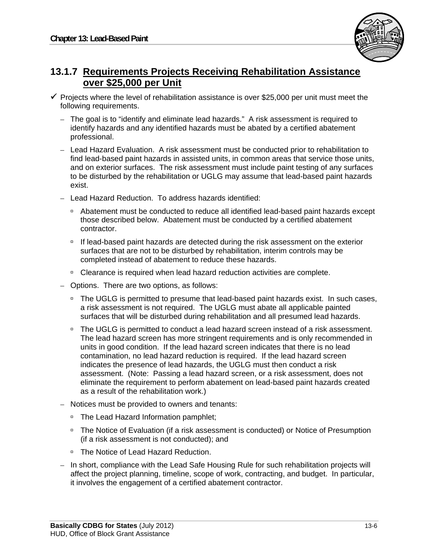

## **13.1.7 Requirements Projects Receiving Rehabilitation Assistance over \$25,000 per Unit**

- $\checkmark$  Projects where the level of rehabilitation assistance is over \$25,000 per unit must meet the following requirements.
	- The goal is to "identify and eliminate lead hazards." A risk assessment is required to identify hazards and any identified hazards must be abated by a certified abatement professional.
	- Lead Hazard Evaluation. A risk assessment must be conducted prior to rehabilitation to find lead-based paint hazards in assisted units, in common areas that service those units, and on exterior surfaces. The risk assessment must include paint testing of any surfaces to be disturbed by the rehabilitation or UGLG may assume that lead-based paint hazards exist.
	- Lead Hazard Reduction. To address hazards identified:
		- Abatement must be conducted to reduce all identified lead-based paint hazards except those described below. Abatement must be conducted by a certified abatement contractor.
		- <sup>n</sup> If lead-based paint hazards are detected during the risk assessment on the exterior surfaces that are not to be disturbed by rehabilitation, interim controls may be completed instead of abatement to reduce these hazards.
		- <sup>o</sup> Clearance is required when lead hazard reduction activities are complete.
	- – Options. There are two options, as follows:
		- □ The UGLG is permitted to presume that lead-based paint hazards exist. In such cases, a risk assessment is not required. The UGLG must abate all applicable painted surfaces that will be disturbed during rehabilitation and all presumed lead hazards.
		- □ The UGLG is permitted to conduct a lead hazard screen instead of a risk assessment. The lead hazard screen has more stringent requirements and is only recommended in units in good condition. If the lead hazard screen indicates that there is no lead contamination, no lead hazard reduction is required. If the lead hazard screen indicates the presence of lead hazards, the UGLG must then conduct a risk assessment. (Note: Passing a lead hazard screen, or a risk assessment, does not eliminate the requirement to perform abatement on lead-based paint hazards created as a result of the rehabilitation work.)
	- Notices must be provided to owners and tenants:
		- □ The Lead Hazard Information pamphlet;
		- □ The Notice of Evaluation (if a risk assessment is conducted) or Notice of Presumption (if a risk assessment is not conducted); and
		- □ The Notice of Lead Hazard Reduction.
	- In short, compliance with the Lead Safe Housing Rule for such rehabilitation projects will affect the project planning, timeline, scope of work, contracting, and budget. In particular, it involves the engagement of a certified abatement contractor.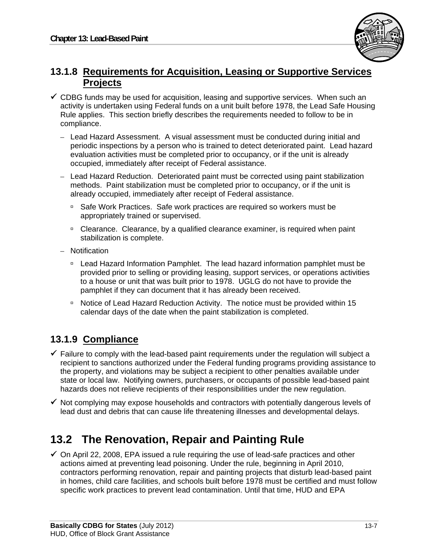

## **13.1.8 Requirements for Acquisition, Leasing or Supportive Services Projects**

- $\checkmark$  CDBG funds may be used for acquisition, leasing and supportive services. When such an activity is undertaken using Federal funds on a unit built before 1978, the Lead Safe Housing Rule applies. This section briefly describes the requirements needed to follow to be in compliance.
	- Lead Hazard Assessment. A visual assessment must be conducted during initial and periodic inspections by a person who is trained to detect deteriorated paint. Lead hazard evaluation activities must be completed prior to occupancy, or if the unit is already occupied, immediately after receipt of Federal assistance.
	- Lead Hazard Reduction. Deteriorated paint must be corrected using paint stabilization methods. Paint stabilization must be completed prior to occupancy, or if the unit is already occupied, immediately after receipt of Federal assistance.
		- □ Safe Work Practices. Safe work practices are required so workers must be appropriately trained or supervised.
		- Clearance. Clearance, by a qualified clearance examiner, is required when paint stabilization is complete.
	- Notification
		- Lead Hazard Information Pamphlet. The lead hazard information pamphlet must be provided prior to selling or providing leasing, support services, or operations activities to a house or unit that was built prior to 1978. UGLG do not have to provide the pamphlet if they can document that it has already been received.
		- □ Notice of Lead Hazard Reduction Activity. The notice must be provided within 15 calendar days of the date when the paint stabilization is completed.

## **13.1.9 Compliance**

- $\checkmark$  Failure to comply with the lead-based paint requirements under the regulation will subject a recipient to sanctions authorized under the Federal funding programs providing assistance to the property, and violations may be subject a recipient to other penalties available under state or local law. Notifying owners, purchasers, or occupants of possible lead-based paint hazards does not relieve recipients of their responsibilities under the new regulation.
- $\checkmark$  Not complying may expose households and contractors with potentially dangerous levels of lead dust and debris that can cause life threatening illnesses and developmental delays.

# **13.2 The Renovation, Repair and Painting Rule**

 $\checkmark$  On April 22, 2008, EPA issued a rule requiring the use of lead-safe practices and other actions aimed at preventing lead poisoning. Under the rule, beginning in April 2010, contractors performing renovation, repair and painting projects that disturb lead-based paint in homes, child care facilities, and schools built before 1978 must be certified and must follow specific work practices to prevent lead contamination. Until that time, HUD and EPA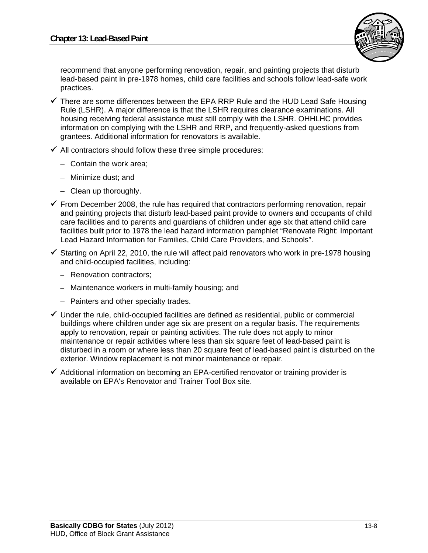

recommend that anyone performing renovation, repair, and painting projects that disturb lead-based paint in pre-1978 homes, child care facilities and schools follow lead-safe work practices.

- $\checkmark$  There are some differences between the EPA RRP Rule and the HUD Lead Safe Housing Rule (LSHR). A major difference is that the LSHR requires clearance examinations. All housing receiving federal assistance must still comply with the LSHR. OHHLHC provides information on complying with the LSHR and RRP, and frequently-asked questions from grantees. Additional information for renovators is available.
- $\checkmark$  All contractors should follow these three simple procedures:
	- Contain the work area;
	- Minimize dust; and
	- Clean up thoroughly.
- $\checkmark$  From December 2008, the rule has required that contractors performing renovation, repair and painting projects that disturb lead-based paint provide to owners and occupants of child care facilities and to parents and guardians of children under age six that attend child care facilities built prior to 1978 the lead hazard information pamphlet "Renovate Right: Important Lead Hazard Information for Families, Child Care Providers, and Schools".
- $\checkmark$  Starting on April 22, 2010, the rule will affect paid renovators who work in pre-1978 housing and child-occupied facilities, including:
	- Renovation contractors;
	- Maintenance workers in multi-family housing; and
	- Painters and other specialty trades.
- $\checkmark$  Under the rule, child-occupied facilities are defined as residential, public or commercial buildings where children under age six are present on a regular basis. The requirements apply to renovation, repair or painting activities. The rule does not apply to minor maintenance or repair activities where less than six square feet of lead-based paint is disturbed in a room or where less than 20 square feet of lead-based paint is disturbed on the exterior. Window replacement is not minor maintenance or repair.
- $\checkmark$  Additional information on becoming an EPA-certified renovator or training provider is available on EPA's Renovator and Trainer Tool Box site.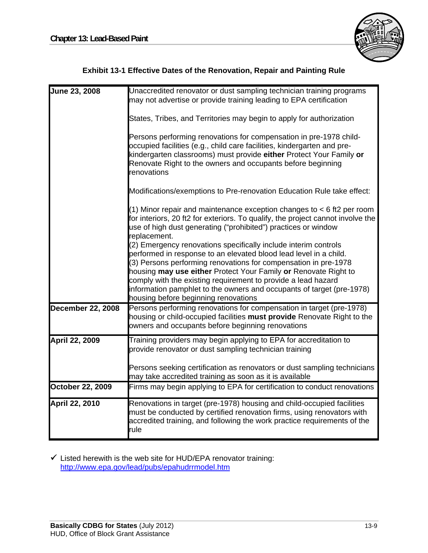

|  | <b>Exhibit 13-1 Effective Dates of the Renovation, Repair and Painting Rule</b> |  |
|--|---------------------------------------------------------------------------------|--|
|  |                                                                                 |  |

| June 23, 2008            | Unaccredited renovator or dust sampling technician training programs<br>may not advertise or provide training leading to EPA certification                                                                                                                                                                                                                                                                                                                   |
|--------------------------|--------------------------------------------------------------------------------------------------------------------------------------------------------------------------------------------------------------------------------------------------------------------------------------------------------------------------------------------------------------------------------------------------------------------------------------------------------------|
|                          | States, Tribes, and Territories may begin to apply for authorization                                                                                                                                                                                                                                                                                                                                                                                         |
|                          | Persons performing renovations for compensation in pre-1978 child-<br>occupied facilities (e.g., child care facilities, kindergarten and pre-<br>kindergarten classrooms) must provide either Protect Your Family or<br>Renovate Right to the owners and occupants before beginning<br>renovations                                                                                                                                                           |
|                          | Modifications/exemptions to Pre-renovation Education Rule take effect:                                                                                                                                                                                                                                                                                                                                                                                       |
|                          | (1) Minor repair and maintenance exception changes to $<$ 6 ft2 per room<br>for interiors, 20 ft2 for exteriors. To qualify, the project cannot involve the<br>use of high dust generating ("prohibited") practices or window<br>replacement.                                                                                                                                                                                                                |
|                          | (2) Emergency renovations specifically include interim controls<br>performed in response to an elevated blood lead level in a child.<br>(3) Persons performing renovations for compensation in pre-1978<br>housing may use either Protect Your Family or Renovate Right to<br>comply with the existing requirement to provide a lead hazard<br>information pamphlet to the owners and occupants of target (pre-1978)<br>housing before beginning renovations |
| <b>December 22, 2008</b> | Persons performing renovations for compensation in target (pre-1978)<br>housing or child-occupied facilities must provide Renovate Right to the<br>owners and occupants before beginning renovations                                                                                                                                                                                                                                                         |
| April 22, 2009           | Training providers may begin applying to EPA for accreditation to<br>provide renovator or dust sampling technician training                                                                                                                                                                                                                                                                                                                                  |
|                          | Persons seeking certification as renovators or dust sampling technicians<br>may take accredited training as soon as it is available                                                                                                                                                                                                                                                                                                                          |
| <b>October 22, 2009</b>  | Firms may begin applying to EPA for certification to conduct renovations                                                                                                                                                                                                                                                                                                                                                                                     |
| April 22, 2010           | Renovations in target (pre-1978) housing and child-occupied facilities<br>must be conducted by certified renovation firms, using renovators with<br>accredited training, and following the work practice requirements of the<br>rule                                                                                                                                                                                                                         |

 $\checkmark$  Listed herewith is the web site for HUD/EPA renovator training: http://www.epa.gov/lead/pubs/epahudrrmodel.htm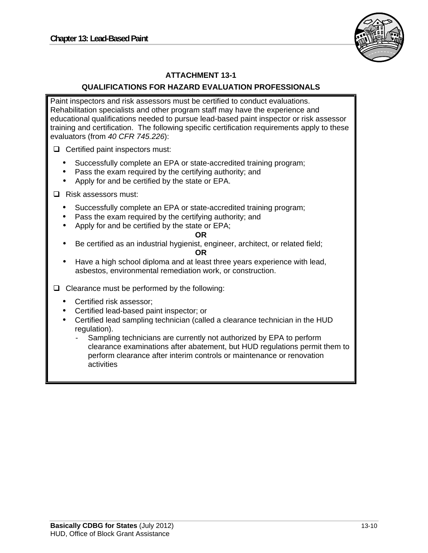

#### **ATTACHMENT 13-1**

#### **QUALIFICATIONS FOR HAZARD EVALUATION PROFESSIONALS**

Paint inspectors and risk assessors must be certified to conduct evaluations. Rehabilitation specialists and other program staff may have the experience and educational qualifications needed to pursue lead-based paint inspector or risk assessor training and certification. The following specific certification requirements apply to these evaluators (from *40 CFR 745.226*):

 $\Box$  Certified paint inspectors must:

- Successfully complete an EPA or state-accredited training program;
- Pass the exam required by the certifying authority; and
- Apply for and be certified by the state or EPA.

□ Risk assessors must:

- Successfully complete an EPA or state-accredited training program;
- Pass the exam required by the certifying authority; and
- Apply for and be certified by the state or EPA;

#### **OR**

Be certified as an industrial hygienist, engineer, architect, or related field;

#### **OR**

- Have a high school diploma and at least three years experience with lead, asbestos, environmental remediation work, or construction.
- $\Box$  Clearance must be performed by the following:
	- Certified risk assessor;
	- Certified lead-based paint inspector; or
	- Certified lead sampling technician (called a clearance technician in the HUD regulation).
		- Sampling technicians are currently not authorized by EPA to perform clearance examinations after abatement, but HUD regulations permit them to perform clearance after interim controls or maintenance or renovation activities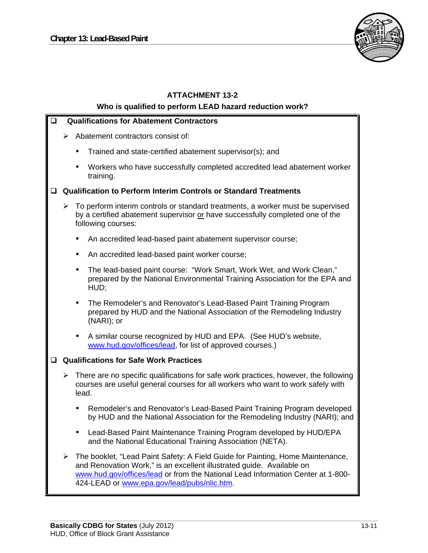

## **ATTACHMENT 13-2 Who is qualified to perform LEAD hazard reduction work? Qualifications for Abatement Contractors**   $\triangleright$  Abatement contractors consist of: Trained and state-certified abatement supervisor(s); and Workers who have successfully completed accredited lead abatement worker training. **Qualification to Perform Interim Controls or Standard Treatments**   $\triangleright$  To perform interim controls or standard treatments, a worker must be supervised by a certified abatement supervisor or have successfully completed one of the following courses: An accredited lead-based paint abatement supervisor course; • An accredited lead-based paint worker course; The lead-based paint course: "Work Smart, Work Wet, and Work Clean," prepared by the National Environmental Training Association for the EPA and HUD; The Remodeler's and Renovator's Lead-Based Paint Training Program prepared by HUD and the National Association of the Remodeling Industry (NARI); or A similar course recognized by HUD and EPA. (See HUD's website, www.hud.gov/offices/lead, for list of approved courses.) **Qualifications for Safe Work Practices**   $\triangleright$  There are no specific qualifications for safe work practices, however, the following courses are useful general courses for all workers who want to work safely with lead. Remodeler's and Renovator's Lead-Based Paint Training Program developed by HUD and the National Association for the Remodeling Industry (NARI); and Lead-Based Paint Maintenance Training Program developed by HUD/EPA and the National Educational Training Association (NETA). The booklet, "Lead Paint Safety: A Field Guide for Painting, Home Maintenance, and Renovation Work," is an excellent illustrated guide. Available on www.hud.gov/offices/lead or from the National Lead Information Center at 1-800 424-LEAD or www.epa.gov/lead/pubs/nlic.htm.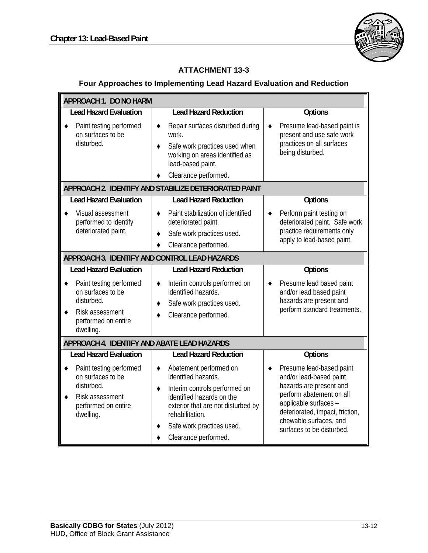Īī



#### **ATTACHMENT 13-3**

### **Four Approaches to Implementing Lead Hazard Evaluation and Reduction**

| <b>APPROACH 1. DO NO HARM</b>                                                                                     |                                                                                                                                                                                                                                     |                                                                                                                                                                                                                               |  |  |  |  |
|-------------------------------------------------------------------------------------------------------------------|-------------------------------------------------------------------------------------------------------------------------------------------------------------------------------------------------------------------------------------|-------------------------------------------------------------------------------------------------------------------------------------------------------------------------------------------------------------------------------|--|--|--|--|
| <b>Lead Hazard Evaluation</b>                                                                                     | <b>Lead Hazard Reduction</b>                                                                                                                                                                                                        | Options                                                                                                                                                                                                                       |  |  |  |  |
| Paint testing performed<br>on surfaces to be<br>disturbed.                                                        | Repair surfaces disturbed during<br>٠<br>work.<br>Safe work practices used when<br>٠<br>working on areas identified as<br>lead-based paint.<br>Clearance performed.                                                                 | Presume lead-based paint is<br>٠<br>present and use safe work<br>practices on all surfaces<br>being disturbed.                                                                                                                |  |  |  |  |
|                                                                                                                   | APPROACH 2. IDENTIFY AND STABILIZE DETERIORATED PAINT                                                                                                                                                                               |                                                                                                                                                                                                                               |  |  |  |  |
| <b>Lead Hazard Evaluation</b>                                                                                     | <b>Lead Hazard Reduction</b>                                                                                                                                                                                                        | Options                                                                                                                                                                                                                       |  |  |  |  |
| Visual assessment<br>performed to identify<br>deteriorated paint.                                                 | Paint stabilization of identified<br>٠<br>deteriorated paint.<br>Safe work practices used.<br>٠<br>Clearance performed.                                                                                                             | Perform paint testing on<br>deteriorated paint. Safe work<br>practice requirements only<br>apply to lead-based paint.                                                                                                         |  |  |  |  |
|                                                                                                                   | APPROACH 3. IDENTIFY AND CONTROL LEAD HAZARDS                                                                                                                                                                                       |                                                                                                                                                                                                                               |  |  |  |  |
| <b>Lead Hazard Evaluation</b>                                                                                     | <b>Lead Hazard Reduction</b>                                                                                                                                                                                                        | Options                                                                                                                                                                                                                       |  |  |  |  |
| Paint testing performed<br>on surfaces to be<br>disturbed.<br>Risk assessment<br>performed on entire<br>dwelling. | Interim controls performed on<br>٠<br>identified hazards.<br>Safe work practices used.<br>٠<br>Clearance performed.                                                                                                                 | Presume lead based paint<br>and/or lead based paint<br>hazards are present and<br>perform standard treatments.                                                                                                                |  |  |  |  |
| APPROACH 4. IDENTIFY AND ABATE LEAD HAZARDS                                                                       |                                                                                                                                                                                                                                     |                                                                                                                                                                                                                               |  |  |  |  |
| <b>Lead Hazard Evaluation</b>                                                                                     | <b>Lead Hazard Reduction</b>                                                                                                                                                                                                        | Options                                                                                                                                                                                                                       |  |  |  |  |
| Paint testing performed<br>on surfaces to be<br>disturbed.<br>Risk assessment<br>performed on entire<br>dwelling. | Abatement performed on<br>٠<br>identified hazards.<br>Interim controls performed on<br>٠<br>identified hazards on the<br>exterior that are not disturbed by<br>rehabilitation.<br>Safe work practices used.<br>Clearance performed. | Presume lead-based paint<br>and/or lead-based paint<br>hazards are present and<br>perform abatement on all<br>applicable surfaces -<br>deteriorated, impact, friction,<br>chewable surfaces, and<br>surfaces to be disturbed. |  |  |  |  |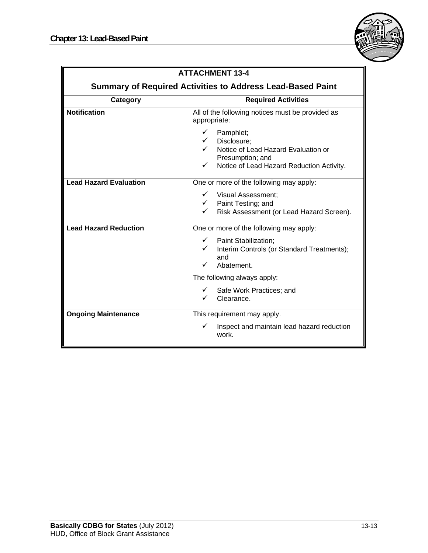

| <b>ATTACHMENT 13-4</b>                                            |                                                                                                                                                                      |  |  |  |
|-------------------------------------------------------------------|----------------------------------------------------------------------------------------------------------------------------------------------------------------------|--|--|--|
|                                                                   |                                                                                                                                                                      |  |  |  |
| <b>Summary of Required Activities to Address Lead-Based Paint</b> |                                                                                                                                                                      |  |  |  |
| Category                                                          | <b>Required Activities</b>                                                                                                                                           |  |  |  |
| <b>Notification</b>                                               | All of the following notices must be provided as<br>appropriate:                                                                                                     |  |  |  |
|                                                                   | Pamphlet;<br>✓<br>$\checkmark$ Disclosure;<br>√ Notice of Lead Hazard Evaluation or<br>Presumption; and<br>Notice of Lead Hazard Reduction Activity.<br>$\checkmark$ |  |  |  |
| <b>Lead Hazard Evaluation</b>                                     | One or more of the following may apply:                                                                                                                              |  |  |  |
|                                                                   | $\checkmark$ Visual Assessment;<br>$\checkmark$ Paint Testing; and<br>Risk Assessment (or Lead Hazard Screen).                                                       |  |  |  |
| <b>Lead Hazard Reduction</b>                                      | One or more of the following may apply:                                                                                                                              |  |  |  |
|                                                                   | $\checkmark$ Paint Stabilization;<br>Interim Controls (or Standard Treatments);<br>$\checkmark$<br>and<br>✓<br>Abatement.                                            |  |  |  |
|                                                                   | The following always apply:                                                                                                                                          |  |  |  |
|                                                                   | Safe Work Practices; and<br>$\checkmark$<br>Clearance.                                                                                                               |  |  |  |
| <b>Ongoing Maintenance</b>                                        | This requirement may apply.                                                                                                                                          |  |  |  |
|                                                                   | ✓<br>Inspect and maintain lead hazard reduction<br>work.                                                                                                             |  |  |  |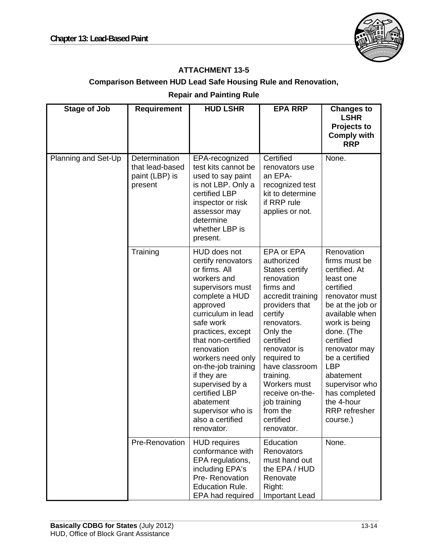

### **ATTACHMENT 13-5**

## **Comparison Between HUD Lead Safe Housing Rule and Renovation,**

### **Repair and Painting Rule**

| <b>Stage of Job</b> | <b>Requirement</b>                                            | <b>HUD LSHR</b>                                                                                                                                                                                                                                                                                                                                                                     | <b>EPA RRP</b>                                                                                                                                                                                                                                                                                                          | <b>Changes to</b><br><b>LSHR</b><br>Projects to                                                                                                                                                                                                                                                                        |
|---------------------|---------------------------------------------------------------|-------------------------------------------------------------------------------------------------------------------------------------------------------------------------------------------------------------------------------------------------------------------------------------------------------------------------------------------------------------------------------------|-------------------------------------------------------------------------------------------------------------------------------------------------------------------------------------------------------------------------------------------------------------------------------------------------------------------------|------------------------------------------------------------------------------------------------------------------------------------------------------------------------------------------------------------------------------------------------------------------------------------------------------------------------|
|                     |                                                               |                                                                                                                                                                                                                                                                                                                                                                                     |                                                                                                                                                                                                                                                                                                                         | <b>Comply with</b><br><b>RRP</b>                                                                                                                                                                                                                                                                                       |
| Planning and Set-Up | Determination<br>that lead-based<br>paint (LBP) is<br>present | EPA-recognized<br>test kits cannot be<br>used to say paint<br>is not LBP. Only a<br>certified LBP<br>inspector or risk<br>assessor may<br>determine<br>whether LBP is<br>present.                                                                                                                                                                                                   | Certified<br>renovators use<br>an EPA-<br>recognized test<br>kit to determine<br>if RRP rule<br>applies or not.                                                                                                                                                                                                         | None.                                                                                                                                                                                                                                                                                                                  |
|                     | Training                                                      | HUD does not<br>certify renovators<br>or firms. All<br>workers and<br>supervisors must<br>complete a HUD<br>approved<br>curriculum in lead<br>safe work<br>practices, except<br>that non-certified<br>renovation<br>workers need only<br>on-the-job training<br>if they are<br>supervised by a<br>certified LBP<br>abatement<br>supervisor who is<br>also a certified<br>renovator. | EPA or EPA<br>authorized<br>States certify<br>renovation<br>firms and<br>accredit training<br>providers that<br>certify<br>renovators.<br>Only the<br>certified<br>renovator is<br>required to<br>have classroom<br>training.<br>Workers must<br>receive on-the-<br>job training<br>from the<br>certified<br>renovator. | Renovation<br>firms must be<br>certified. At<br>least one<br>certified<br>renovator must<br>be at the job or<br>available when<br>work is being<br>done. (The<br>certified<br>renovator may<br>be a certified<br><b>LBP</b><br>abatement<br>supervisor who<br>has completed<br>the 4-hour<br>RRP refresher<br>course.) |
|                     | Pre-Renovation                                                | <b>HUD</b> requires<br>conformance with<br>EPA regulations,<br>including EPA's<br>Pre-Renovation<br><b>Education Rule.</b><br>EPA had required                                                                                                                                                                                                                                      | Education<br>Renovators<br>must hand out<br>the EPA / HUD<br>Renovate<br>Right:<br>Important Lead                                                                                                                                                                                                                       | None.                                                                                                                                                                                                                                                                                                                  |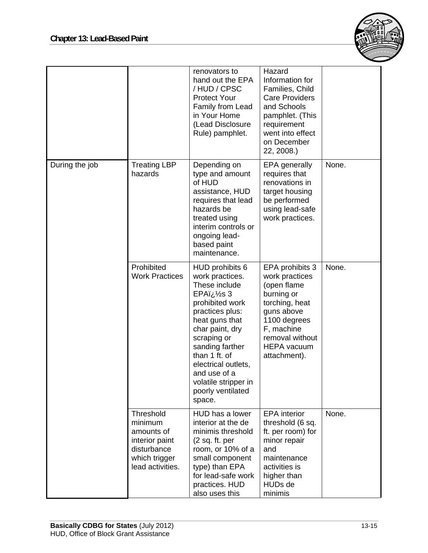

|                |                                                                                                                 | renovators to<br>hand out the EPA<br>/HUD/CPSC<br><b>Protect Your</b><br>Family from Lead<br>in Your Home<br>(Lead Disclosure<br>Rule) pamphlet.                                                                                                                                             | Hazard<br>Information for<br>Families, Child<br><b>Care Providers</b><br>and Schools<br>pamphlet. (This<br>requirement<br>went into effect<br>on December<br>22, 2008.)               |       |
|----------------|-----------------------------------------------------------------------------------------------------------------|----------------------------------------------------------------------------------------------------------------------------------------------------------------------------------------------------------------------------------------------------------------------------------------------|---------------------------------------------------------------------------------------------------------------------------------------------------------------------------------------|-------|
| During the job | <b>Treating LBP</b><br>hazards                                                                                  | Depending on<br>type and amount<br>of HUD<br>assistance, HUD<br>requires that lead<br>hazards be<br>treated using<br>interim controls or<br>ongoing lead-<br>based paint<br>maintenance.                                                                                                     | <b>EPA</b> generally<br>requires that<br>renovations in<br>target housing<br>be performed<br>using lead-safe<br>work practices.                                                       | None. |
|                | Prohibited<br><b>Work Practices</b>                                                                             | HUD prohibits 6<br>work practices.<br>These include<br>S 3½ EPAï<br>prohibited work<br>practices plus:<br>heat guns that<br>char paint, dry<br>scraping or<br>sanding farther<br>than 1 ft. of<br>electrical outlets,<br>and use of a<br>volatile stripper in<br>poorly ventilated<br>space. | EPA prohibits 3<br>work practices<br>(open flame<br>burning or<br>torching, heat<br>guns above<br>1100 degrees<br>F, machine<br>removal without<br><b>HEPA</b> vacuum<br>attachment). | None. |
|                | <b>Threshold</b><br>minimum<br>amounts of<br>interior paint<br>disturbance<br>which trigger<br>lead activities. | HUD has a lower<br>interior at the de<br>minimis threshold<br>(2 sq. ft. per)<br>room, or 10% of a<br>small component<br>type) than EPA<br>for lead-safe work<br>practices. HUD<br>also uses this                                                                                            | <b>EPA</b> interior<br>threshold (6 sq.<br>ft. per room) for<br>minor repair<br>and<br>maintenance<br>activities is<br>higher than<br>HUDs de<br>minimis                              | None. |